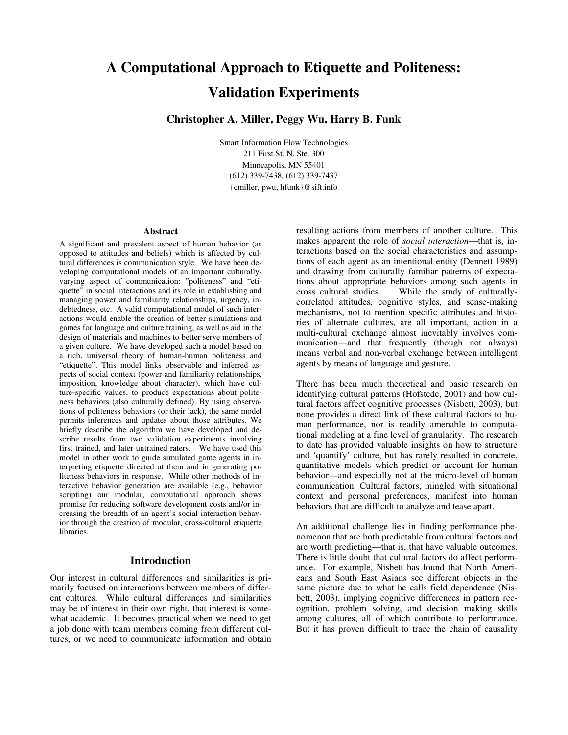# **A Computational Approach to Etiquette and Politeness: Validation Experiments**

# **Christopher A. Miller, Peggy Wu, Harry B. Funk**

Smart Information Flow Technologies 211 First St. N. Ste. 300 Minneapolis, MN 55401 (612) 339-7438, (612) 339-7437 {cmiller, pwu, hfunk}@sift.info

#### **Abstract**

A significant and prevalent aspect of human behavior (as opposed to attitudes and beliefs) which is affected by cultural differences is communication style. We have been developing computational models of an important culturallyvarying aspect of communication: "politeness" and "etiquette" in social interactions and its role in establishing and managing power and familiarity relationships, urgency, indebtedness, etc. A valid computational model of such interactions would enable the creation of better simulations and games for language and culture training, as well as aid in the design of materials and machines to better serve members of a given culture. We have developed such a model based on a rich, universal theory of human-human politeness and "etiquette". This model links observable and inferred aspects of social context (power and familiarity relationships, imposition, knowledge about character), which have culture-specific values, to produce expectations about politeness behaviors (also culturally defined). By using observations of politeness behaviors (or their lack), the same model permits inferences and updates about those attributes. We briefly describe the algorithm we have developed and describe results from two validation experiments involving first trained, and later untrained raters. We have used this model in other work to guide simulated game agents in interpreting etiquette directed at them and in generating politeness behaviors in response. While other methods of interactive behavior generation are available (e.g., behavior scripting) our modular, computational approach shows promise for reducing software development costs and/or increasing the breadth of an agent's social interaction behavior through the creation of modular, cross-cultural etiquette libraries.

### **Introduction**

Our interest in cultural differences and similarities is primarily focused on interactions between members of different cultures. While cultural differences and similarities may be of interest in their own right, that interest is somewhat academic. It becomes practical when we need to get a job done with team members coming from different cultures, or we need to communicate information and obtain resulting actions from members of another culture. This makes apparent the role of *social interaction*—that is, interactions based on the social characteristics and assumptions of each agent as an intentional entity (Dennett 1989) and drawing from culturally familiar patterns of expectations about appropriate behaviors among such agents in cross cultural studies. While the study of culturally-While the study of culturallycorrelated attitudes, cognitive styles, and sense-making mechanisms, not to mention specific attributes and histories of alternate cultures, are all important, action in a multi-cultural exchange almost inevitably involves communication—and that frequently (though not always) means verbal and non-verbal exchange between intelligent agents by means of language and gesture.

There has been much theoretical and basic research on identifying cultural patterns (Hofstede, 2001) and how cultural factors affect cognitive processes (Nisbett, 2003), but none provides a direct link of these cultural factors to human performance, nor is readily amenable to computational modeling at a fine level of granularity. The research to date has provided valuable insights on how to structure and 'quantify' culture, but has rarely resulted in concrete, quantitative models which predict or account for human behavior—and especially not at the micro-level of human communication. Cultural factors, mingled with situational context and personal preferences, manifest into human behaviors that are difficult to analyze and tease apart.

An additional challenge lies in finding performance phenomenon that are both predictable from cultural factors and are worth predicting—that is, that have valuable outcomes. There is little doubt that cultural factors do affect performance. For example, Nisbett has found that North Americans and South East Asians see different objects in the same picture due to what he calls field dependence (Nisbett, 2003), implying cognitive differences in pattern recognition, problem solving, and decision making skills among cultures, all of which contribute to performance. But it has proven difficult to trace the chain of causality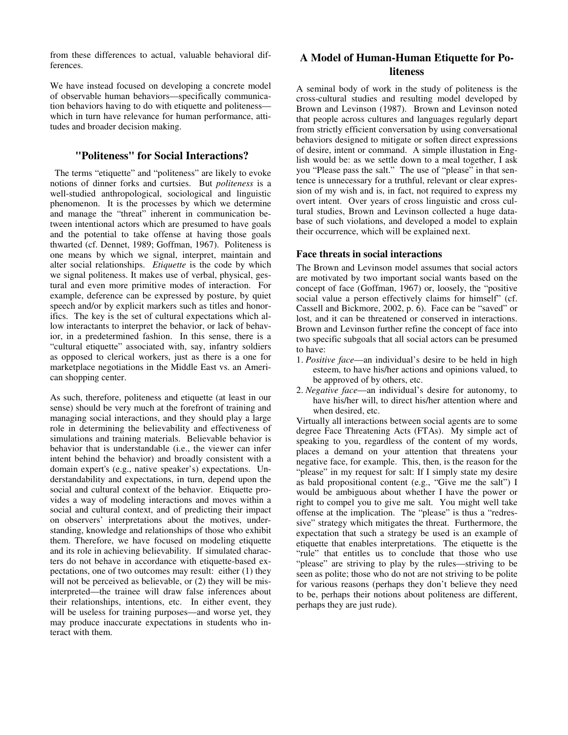from these differences to actual, valuable behavioral differences.

We have instead focused on developing a concrete model of observable human behaviors—specifically communication behaviors having to do with etiquette and politeness which in turn have relevance for human performance, attitudes and broader decision making.

## **"Politeness" for Social Interactions?**

 The terms "etiquette" and "politeness" are likely to evoke notions of dinner forks and curtsies. But *politeness* is a well-studied anthropological, sociological and linguistic phenomenon. It is the processes by which we determine and manage the "threat" inherent in communication between intentional actors which are presumed to have goals and the potential to take offense at having those goals thwarted (cf. Dennet, 1989; Goffman, 1967). Politeness is one means by which we signal, interpret, maintain and alter social relationships. *Etiquette* is the code by which we signal politeness. It makes use of verbal, physical, gestural and even more primitive modes of interaction. For example, deference can be expressed by posture, by quiet speech and/or by explicit markers such as titles and honorifics. The key is the set of cultural expectations which allow interactants to interpret the behavior, or lack of behavior, in a predetermined fashion. In this sense, there is a "cultural etiquette" associated with, say, infantry soldiers as opposed to clerical workers, just as there is a one for marketplace negotiations in the Middle East vs. an American shopping center.

As such, therefore, politeness and etiquette (at least in our sense) should be very much at the forefront of training and managing social interactions, and they should play a large role in determining the believability and effectiveness of simulations and training materials. Believable behavior is behavior that is understandable (i.e., the viewer can infer intent behind the behavior) and broadly consistent with a domain expert's (e.g., native speaker's) expectations. Understandability and expectations, in turn, depend upon the social and cultural context of the behavior. Etiquette provides a way of modeling interactions and moves within a social and cultural context, and of predicting their impact on observers' interpretations about the motives, understanding, knowledge and relationships of those who exhibit them. Therefore, we have focused on modeling etiquette and its role in achieving believability. If simulated characters do not behave in accordance with etiquette-based expectations, one of two outcomes may result: either (1) they will not be perceived as believable, or  $(2)$  they will be misinterpreted—the trainee will draw false inferences about their relationships, intentions, etc. In either event, they will be useless for training purposes—and worse yet, they may produce inaccurate expectations in students who interact with them.

# **A Model of Human-Human Etiquette for Politeness**

A seminal body of work in the study of politeness is the cross-cultural studies and resulting model developed by Brown and Levinson (1987). Brown and Levinson noted that people across cultures and languages regularly depart from strictly efficient conversation by using conversational behaviors designed to mitigate or soften direct expressions of desire, intent or command. A simple illustation in English would be: as we settle down to a meal together, I ask you "Please pass the salt." The use of "please" in that sentence is unnecessary for a truthful, relevant or clear expression of my wish and is, in fact, not required to express my overt intent. Over years of cross linguistic and cross cultural studies, Brown and Levinson collected a huge database of such violations, and developed a model to explain their occurrence, which will be explained next.

#### **Face threats in social interactions**

The Brown and Levinson model assumes that social actors are motivated by two important social wants based on the concept of face (Goffman, 1967) or, loosely, the "positive social value a person effectively claims for himself" (cf. Cassell and Bickmore, 2002, p. 6). Face can be "saved" or lost, and it can be threatened or conserved in interactions. Brown and Levinson further refine the concept of face into two specific subgoals that all social actors can be presumed to have:

- 1. *Positive face*—an individual's desire to be held in high esteem, to have his/her actions and opinions valued, to be approved of by others, etc.
- 2. *Negative face*—an individual's desire for autonomy, to have his/her will, to direct his/her attention where and when desired, etc.

Virtually all interactions between social agents are to some degree Face Threatening Acts (FTAs). My simple act of speaking to you, regardless of the content of my words, places a demand on your attention that threatens your negative face, for example. This, then, is the reason for the "please" in my request for salt: If I simply state my desire as bald propositional content (e.g., "Give me the salt") I would be ambiguous about whether I have the power or right to compel you to give me salt. You might well take offense at the implication. The "please" is thus a "redressive" strategy which mitigates the threat. Furthermore, the expectation that such a strategy be used is an example of etiquette that enables interpretations. The etiquette is the "rule" that entitles us to conclude that those who use "please" are striving to play by the rules—striving to be seen as polite; those who do not are not striving to be polite for various reasons (perhaps they don't believe they need to be, perhaps their notions about politeness are different, perhaps they are just rude).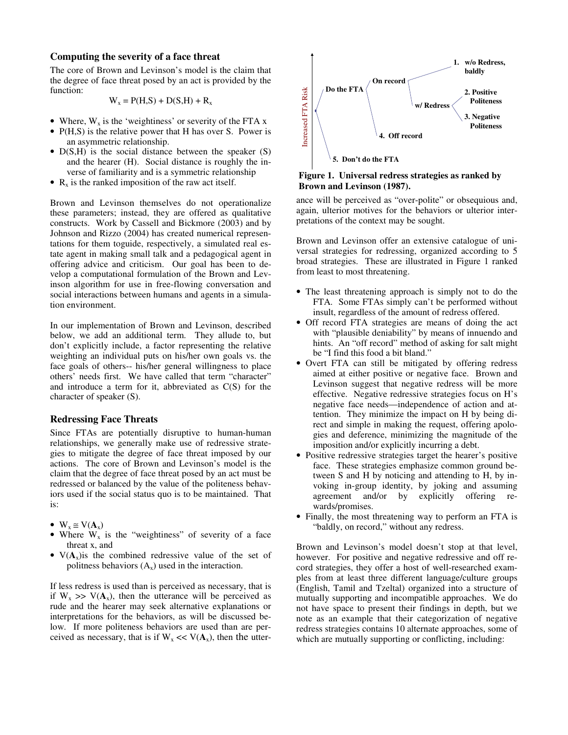#### **Computing the severity of a face threat**

The core of Brown and Levinson's model is the claim that the degree of face threat posed by an act is provided by the function:

$$
W_x = P(H,S) + D(S,H) + R_x
$$

- Where,  $W_x$  is the 'weightiness' or severity of the FTA x
- P(H,S) is the relative power that H has over S. Power is an asymmetric relationship.
- $D(S,H)$  is the social distance between the speaker (S) and the hearer (H). Social distance is roughly the inverse of familiarity and is a symmetric relationship
- $R_x$  is the ranked imposition of the raw act itself.

Brown and Levinson themselves do not operationalize these parameters; instead, they are offered as qualitative constructs. Work by Cassell and Bickmore (2003) and by Johnson and Rizzo (2004) has created numerical representations for them toguide, respectively, a simulated real estate agent in making small talk and a pedagogical agent in offering advice and criticism. Our goal has been to develop a computational formulation of the Brown and Levinson algorithm for use in free-flowing conversation and social interactions between humans and agents in a simulation environment.

In our implementation of Brown and Levinson, described below, we add an additional term. They allude to, but don't explicitly include, a factor representing the relative weighting an individual puts on his/her own goals vs. the face goals of others-- his/her general willingness to place others' needs first. We have called that term "character" and introduce a term for it, abbreviated as C(S) for the character of speaker (S).

#### **Redressing Face Threats**

Since FTAs are potentially disruptive to human-human relationships, we generally make use of redressive strategies to mitigate the degree of face threat imposed by our actions. The core of Brown and Levinson's model is the claim that the degree of face threat posed by an act must be redressed or balanced by the value of the politeness behaviors used if the social status quo is to be maintained. That is:

- $W_x \cong V(A_x)$
- Where  $W_x$  is the "weightiness" of severity of a face threat x, and
- $V(A_x)$  is the combined redressive value of the set of politness behaviors  $(A_x)$  used in the interaction.

If less redress is used than is perceived as necessary, that is if  $W_x \gg V(A_x)$ , then the utterance will be perceived as rude and the hearer may seek alternative explanations or interpretations for the behaviors, as will be discussed below. If more politeness behaviors are used than are perceived as necessary, that is if  $W_x \ll V(A_x)$ , then the utter-



**Figure 1. Universal redress strategies as ranked by Brown and Levinson (1987).** 

ance will be perceived as "over-polite" or obsequious and, again, ulterior motives for the behaviors or ulterior interpretations of the context may be sought.

Brown and Levinson offer an extensive catalogue of universal strategies for redressing, organized according to 5 broad strategies. These are illustrated in Figure 1 ranked from least to most threatening.

- The least threatening approach is simply not to do the FTA. Some FTAs simply can't be performed without insult, regardless of the amount of redress offered.
- Off record FTA strategies are means of doing the act with "plausible deniability" by means of innuendo and hints. An "off record" method of asking for salt might be "I find this food a bit bland."
- Overt FTA can still be mitigated by offering redress aimed at either positive or negative face. Brown and Levinson suggest that negative redress will be more effective. Negative redressive strategies focus on H's negative face needs—independence of action and attention. They minimize the impact on H by being direct and simple in making the request, offering apologies and deference, minimizing the magnitude of the imposition and/or explicitly incurring a debt.
- Positive redressive strategies target the hearer's positive face. These strategies emphasize common ground between S and H by noticing and attending to H, by invoking in-group identity, by joking and assuming agreement and/or by explicitly offering rewards/promises.
- Finally, the most threatening way to perform an FTA is "baldly, on record," without any redress.

Brown and Levinson's model doesn't stop at that level, however. For positive and negative redressive and off record strategies, they offer a host of well-researched examples from at least three different language/culture groups (English, Tamil and Tzeltal) organized into a structure of mutually supporting and incompatible approaches. We do not have space to present their findings in depth, but we note as an example that their categorization of negative redress strategies contains 10 alternate approaches, some of which are mutually supporting or conflicting, including: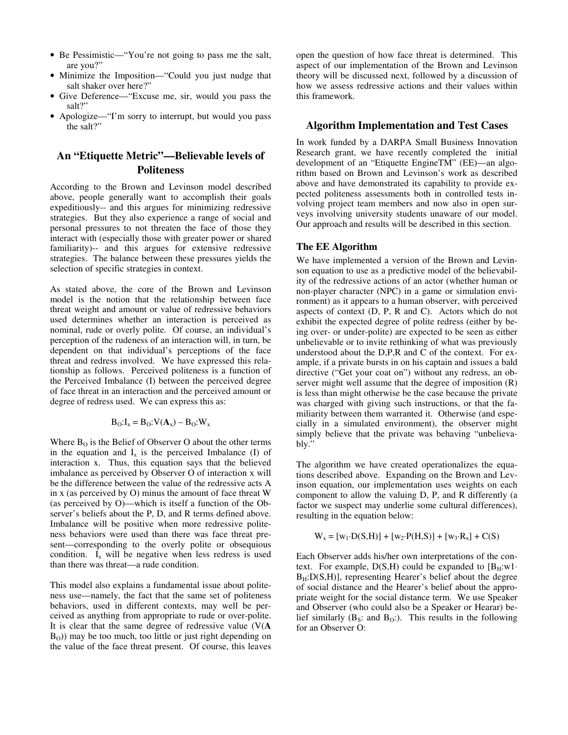- Be Pessimistic—"You're not going to pass me the salt, are you?"
- Minimize the Imposition—"Could you just nudge that salt shaker over here?"
- Give Deference—"Excuse me, sir, would you pass the salt?"
- Apologize—"I'm sorry to interrupt, but would you pass the salt?"

# **An "Etiquette Metric"—Believable levels of Politeness**

According to the Brown and Levinson model described above, people generally want to accomplish their goals expeditiously-- and this argues for minimizing redressive strategies. But they also experience a range of social and personal pressures to not threaten the face of those they interact with (especially those with greater power or shared familiarity)-- and this argues for extensive redressive strategies. The balance between these pressures yields the selection of specific strategies in context.

As stated above, the core of the Brown and Levinson model is the notion that the relationship between face threat weight and amount or value of redressive behaviors used determines whether an interaction is perceived as nominal, rude or overly polite. Of course, an individual's perception of the rudeness of an interaction will, in turn, be dependent on that individual's perceptions of the face threat and redress involved. We have expressed this relationship as follows. Perceived politeness is a function of the Perceived Imbalance (I) between the perceived degree of face threat in an interaction and the perceived amount or degree of redress used. We can express this as:

$$
B_O:I_x = B_O: V(\mathbf{A}_x) - B_O: W_x
$$

Where  $B_0$  is the Belief of Observer O about the other terms in the equation and  $I_x$  is the perceived Imbalance (I) of interaction x. Thus, this equation says that the believed imbalance as perceived by Observer O of interaction x will be the difference between the value of the redressive acts A in x (as perceived by O) minus the amount of face threat W (as perceived by O)—which is itself a function of the Observer's beliefs about the P, D, and R terms defined above. Imbalance will be positive when more redressive politeness behaviors were used than there was face threat present—corresponding to the overly polite or obsequious condition.  $I_x$  will be negative when less redress is used than there was threat—a rude condition.

This model also explains a fundamental issue about politeness use—namely, the fact that the same set of politeness behaviors, used in different contexts, may well be perceived as anything from appropriate to rude or over-polite. It is clear that the same degree of redressive value (V(**A**  $B<sub>O</sub>$ )) may be too much, too little or just right depending on the value of the face threat present. Of course, this leaves open the question of how face threat is determined. This aspect of our implementation of the Brown and Levinson theory will be discussed next, followed by a discussion of how we assess redressive actions and their values within this framework.

#### **Algorithm Implementation and Test Cases**

In work funded by a DARPA Small Business Innovation Research grant, we have recently completed the initial development of an "Etiquette EngineTM" (EE)—an algorithm based on Brown and Levinson's work as described above and have demonstrated its capability to provide expected politeness assessments both in controlled tests involving project team members and now also in open surveys involving university students unaware of our model. Our approach and results will be described in this section.

#### **The EE Algorithm**

We have implemented a version of the Brown and Levinson equation to use as a predictive model of the believability of the redressive actions of an actor (whether human or non-player character (NPC) in a game or simulation environment) as it appears to a human observer, with perceived aspects of context (D, P, R and C). Actors which do not exhibit the expected degree of polite redress (either by being over- or under-polite) are expected to be seen as either unbelievable or to invite rethinking of what was previously understood about the D,P,R and C of the context. For example, if a private bursts in on his captain and issues a bald directive ("Get your coat on") without any redress, an observer might well assume that the degree of imposition (R) is less than might otherwise be the case because the private was charged with giving such instructions, or that the familiarity between them warranted it. Otherwise (and especially in a simulated environment), the observer might simply believe that the private was behaving "unbelievably."

The algorithm we have created operationalizes the equations described above. Expanding on the Brown and Levinson equation, our implementation uses weights on each component to allow the valuing D, P, and R differently (a factor we suspect may underlie some cultural differences), resulting in the equation below:

$$
W_x = [w_1 \cdot D(S, H)] + [w_2 \cdot P(H, S)] + [w_3 \cdot R_x] + C(S)
$$

Each Observer adds his/her own interpretations of the context. For example, D(S,H) could be expanded to  $[B_H:w1 \cdot$  $B_H:D(S,H)$ ], representing Hearer's belief about the degree of social distance and the Hearer's belief about the appropriate weight for the social distance term. We use Speaker and Observer (who could also be a Speaker or Hearar) belief similarly  $(B_S: \text{ and } B_O)$ . This results in the following for an Observer O: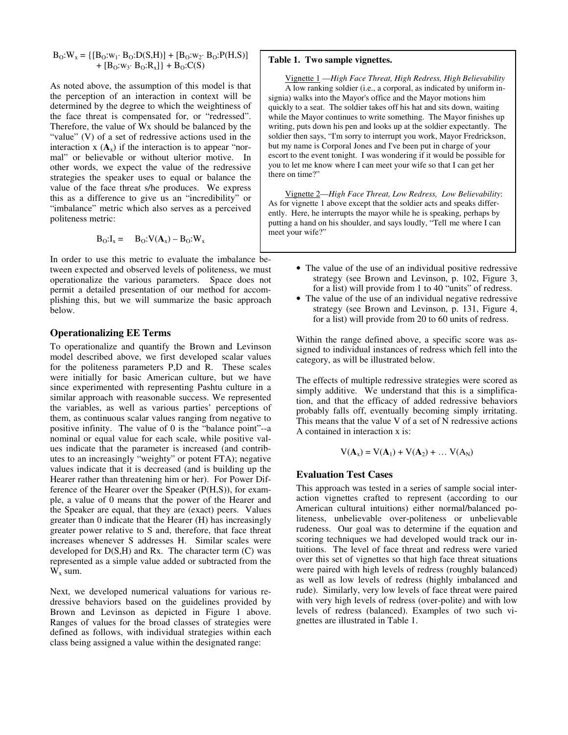$$
\begin{array}{l} B_{\mathrm{O}}\!\!:\!\!W_x\!=\!\big\{[B_{\mathrm{O}}\!\!:\!\!w_1\!\!:\,B_{\mathrm{O}}\!\!:\!\!D(S,\!H)\big]+\big[B_{\mathrm{O}}\!\!:\!\!w_2\!\!:\,B_{\mathrm{O}}\!\!:\!\!P(H,\!S)\big] \quad+\big[B_{\mathrm{O}}\!\!:\!\!w_3\!\!:\,B_{\mathrm{O}}\!\!:\!\!R_x\big]\big\}+B_{\mathrm{O}}\!\!:\!\!C(S) \end{array}
$$

As noted above, the assumption of this model is that the perception of an interaction in context will be determined by the degree to which the weightiness of the face threat is compensated for, or "redressed". Therefore, the value of Wx should be balanced by the "value" (V) of a set of redressive actions used in the interaction  $x(A_x)$  if the interaction is to appear "normal" or believable or without ulterior motive. In other words, we expect the value of the redressive strategies the speaker uses to equal or balance the value of the face threat s/he produces. We express this as a difference to give us an "incredibility" or "imbalance" metric which also serves as a perceived politeness metric:

$$
\mathbf{B}_{\mathbf{O}}:\mathbf{I}_{\mathbf{x}} = \mathbf{B}_{\mathbf{O}}:\mathbf{V}(\mathbf{A}_{\mathbf{x}}) - \mathbf{B}_{\mathbf{O}}:\mathbf{W}_{\mathbf{x}}
$$

In order to use this metric to evaluate the imbalance between expected and observed levels of politeness, we must operationalize the various parameters. Space does not permit a detailed presentation of our method for accomplishing this, but we will summarize the basic approach below.

#### **Operationalizing EE Terms**

To operationalize and quantify the Brown and Levinson model described above, we first developed scalar values for the politeness parameters P,D and R. These scales were initially for basic American culture, but we have since experimented with representing Pashtu culture in a similar approach with reasonable success. We represented the variables, as well as various parties' perceptions of them, as continuous scalar values ranging from negative to positive infinity. The value of 0 is the "balance point"--a nominal or equal value for each scale, while positive values indicate that the parameter is increased (and contributes to an increasingly "weighty" or potent FTA); negative values indicate that it is decreased (and is building up the Hearer rather than threatening him or her). For Power Difference of the Hearer over the Speaker (P(H,S)), for example, a value of 0 means that the power of the Hearer and the Speaker are equal, that they are (exact) peers. Values greater than 0 indicate that the Hearer (H) has increasingly greater power relative to S and, therefore, that face threat increases whenever S addresses H. Similar scales were developed for  $D(S,H)$  and Rx. The character term  $(C)$  was represented as a simple value added or subtracted from the  $W_x$  sum.

Next, we developed numerical valuations for various redressive behaviors based on the guidelines provided by Brown and Levinson as depicted in Figure 1 above. Ranges of values for the broad classes of strategies were defined as follows, with individual strategies within each class being assigned a value within the designated range:

#### **Table 1. Two sample vignettes.**

Vignette 1 —*High Face Threat, High Redress, High Believability* A low ranking soldier (i.e., a corporal, as indicated by uniform insignia) walks into the Mayor's office and the Mayor motions him quickly to a seat. The soldier takes off his hat and sits down, waiting while the Mayor continues to write something. The Mayor finishes up writing, puts down his pen and looks up at the soldier expectantly. The soldier then says, "I'm sorry to interrupt you work, Mayor Fredrickson, but my name is Corporal Jones and I've been put in charge of your escort to the event tonight. I was wondering if it would be possible for you to let me know where I can meet your wife so that I can get her there on time?"

Vignette 2—*High Face Threat, Low Redress, Low Believability*: As for vignette 1 above except that the soldier acts and speaks differently. Here, he interrupts the mayor while he is speaking, perhaps by putting a hand on his shoulder, and says loudly, "Tell me where I can meet your wife?"

- The value of the use of an individual positive redressive strategy (see Brown and Levinson, p. 102, Figure 3, for a list) will provide from 1 to 40 "units" of redress.
- The value of the use of an individual negative redressive strategy (see Brown and Levinson, p. 131, Figure 4, for a list) will provide from 20 to 60 units of redress.

Within the range defined above, a specific score was assigned to individual instances of redress which fell into the category, as will be illustrated below.

The effects of multiple redressive strategies were scored as simply additive. We understand that this is a simplification, and that the efficacy of added redressive behaviors probably falls off, eventually becoming simply irritating. This means that the value V of a set of N redressive actions A contained in interaction x is:

$$
V(A_x) = V(A_1) + V(A_2) + ... V(A_N)
$$

#### **Evaluation Test Cases**

This approach was tested in a series of sample social interaction vignettes crafted to represent (according to our American cultural intuitions) either normal/balanced politeness, unbelievable over-politeness or unbelievable rudeness. Our goal was to determine if the equation and scoring techniques we had developed would track our intuitions. The level of face threat and redress were varied over this set of vignettes so that high face threat situations were paired with high levels of redress (roughly balanced) as well as low levels of redress (highly imbalanced and rude). Similarly, very low levels of face threat were paired with very high levels of redress (over-polite) and with low levels of redress (balanced). Examples of two such vignettes are illustrated in Table 1.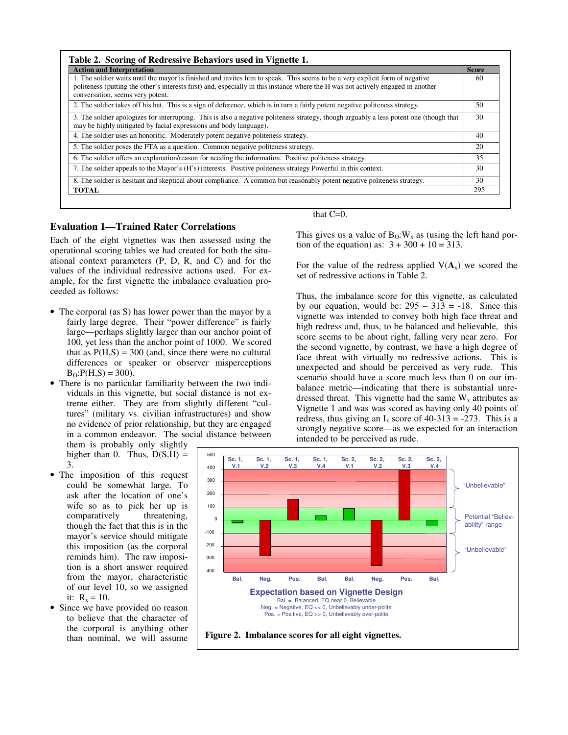| <b>Action and Interpretation</b>                                                                                                                                                                                                                                                                      | <b>Score</b> |
|-------------------------------------------------------------------------------------------------------------------------------------------------------------------------------------------------------------------------------------------------------------------------------------------------------|--------------|
| 1. The soldier waits until the mayor is finished and invites him to speak. This seems to be a very explicit form of negative<br>politeness (putting the other's interests first) and, especially in this instance where the H was not actively engaged in another<br>conversation, seems very potent. | 60           |
| 2. The soldier takes off his hat. This is a sign of deference, which is in turn a fairly potent negative politeness strategy.                                                                                                                                                                         | 50           |
| 3. The soldier apologizes for interrupting. This is also a negative politeness strategy, though arguably a less potent one (though that<br>may be highly mitigated by facial expressions and body language).                                                                                          | 30           |
| 4. The soldier uses an honorific. Moderately potent negative politeness strategy.                                                                                                                                                                                                                     | 40           |
| 5. The soldier poses the FTA as a question. Common negative politieness strategy.                                                                                                                                                                                                                     | 20           |
| 6. The soldier offers an explanation/reason for needing the information. Positive politeness strategy.                                                                                                                                                                                                | 35           |
| 7. The soldier appeals to the Mayor's (H's) interests. Positive politeness strategy Powerful in this context.                                                                                                                                                                                         | 30           |
| 8. The soldier is hesitant and skeptical about compliance. A common but reasonably potent negative politeness strategy.                                                                                                                                                                               | 30           |
| <b>TOTAL</b>                                                                                                                                                                                                                                                                                          | 295          |

#### **Evaluation 1—Trained Rater Correlations**

Each of the eight vignettes was then assessed using the operational scoring tables we had created for both the situational context parameters (P, D, R, and C) and for the values of the individual redressive actions used. For example, for the first vignette the imbalance evaluation proceeded as follows:

- The corporal (as S) has lower power than the mayor by a fairly large degree. Their "power difference" is fairly large—perhaps slightly larger than our anchor point of 100, yet less than the anchor point of 1000. We scored that as  $P(H, S) = 300$  (and, since there were no cultural differences or speaker or observer misperceptions  $B_0$ : $P(H, S) = 300$ ).
- There is no particular familiarity between the two individuals in this vignette, but social distance is not extreme either. They are from slightly different "cultures" (military vs. civilian infrastructures) and show no evidence of prior relationship, but they are engaged in a common endeavor. The social distance between them is probably only slightly

higher than 0. Thus,  $D(S,H)$  = 3.

- The imposition of this request could be somewhat large. To ask after the location of one's wife so as to pick her up is<br>comparatively threatening, comparatively though the fact that this is in the mayor's service should mitigate this imposition (as the corporal reminds him). The raw imposition is a short answer required from the mayor, characteristic of our level 10, so we assigned it:  $R_x = 10$ .
- Since we have provided no reason to believe that the character of the corporal is anything other than nominal, we will assume

that C=0.

This gives us a value of  $B_0$ :  $W_x$  as (using the left hand portion of the equation) as:  $3 + 300 + 10 = 313$ .

For the value of the redress applied  $V(A_x)$  we scored the set of redressive actions in Table 2.

Thus, the imbalance score for this vignette, as calculated by our equation, would be:  $295 - 313 = -18$ . Since this vignette was intended to convey both high face threat and high redress and, thus, to be balanced and believable, this score seems to be about right, falling very near zero. For the second vignette, by contrast, we have a high degree of face threat with virtually no redressive actions. This is unexpected and should be perceived as very rude. This scenario should have a score much less than 0 on our imbalance metric—indicating that there is substantial unredressed threat. This vignette had the same  $W_x$  attributes as Vignette 1 and was was scored as having only 40 points of redress, thus giving an  $I_x$  score of 40-313 = -273. This is a strongly negative score—as we expected for an interaction intended to be perceived as rude.

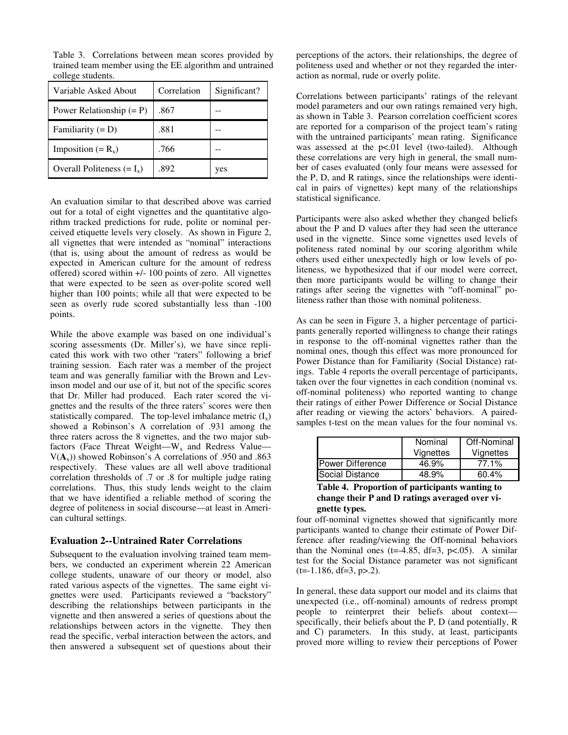| Variable Asked About         | Correlation | Significant? |
|------------------------------|-------------|--------------|
| Power Relationship $(= P)$   | .867        |              |
| Familiarity $(= D)$          | .881        |              |
| Imposition $(= R_x)$         | .766        |              |
| Overall Politeness $(= I_x)$ | .892        | yes          |

Table 3. Correlations between mean scores provided by trained team member using the EE algorithm and untrained college students.

An evaluation similar to that described above was carried out for a total of eight vignettes and the quantitative algorithm tracked predictions for rude, polite or nominal perceived etiquette levels very closely. As shown in Figure 2, all vignettes that were intended as "nominal" interactions (that is, using about the amount of redress as would be expected in American culture for the amount of redress offered) scored within +/- 100 points of zero. All vignettes that were expected to be seen as over-polite scored well higher than 100 points; while all that were expected to be seen as overly rude scored substantially less than -100 points.

While the above example was based on one individual's scoring assessments (Dr. Miller's), we have since replicated this work with two other "raters" following a brief training session. Each rater was a member of the project team and was generally familiar with the Brown and Levinson model and our use of it, but not of the specific scores that Dr. Miller had produced. Each rater scored the vignettes and the results of the three raters' scores were then statistically compared. The top-level imbalance metric  $(I_x)$ showed a Robinson's A correlation of .931 among the three raters across the 8 vignettes, and the two major subfactors (Face Threat Weight—W<sub>x</sub> and Redress Value—  $V(A_x)$ ) showed Robinson's A correlations of .950 and .863 respectively. These values are all well above traditional correlation thresholds of .7 or .8 for multiple judge rating correlations. Thus, this study lends weight to the claim that we have identified a reliable method of scoring the degree of politeness in social discourse—at least in American cultural settings.

#### **Evaluation 2--Untrained Rater Correlations**

Subsequent to the evaluation involving trained team members, we conducted an experiment wherein 22 American college students, unaware of our theory or model, also rated various aspects of the vignettes. The same eight vignettes were used. Participants reviewed a "backstory" describing the relationships between participants in the vignette and then answered a series of questions about the relationships between actors in the vignette. They then read the specific, verbal interaction between the actors, and then answered a subsequent set of questions about their perceptions of the actors, their relationships, the degree of politeness used and whether or not they regarded the interaction as normal, rude or overly polite.

Correlations between participants' ratings of the relevant model parameters and our own ratings remained very high, as shown in Table 3. Pearson correlation coefficient scores are reported for a comparison of the project team's rating with the untrained participants' mean rating. Significance was assessed at the p<.01 level (two-tailed). Although these correlations are very high in general, the small number of cases evaluated (only four means were assessed for the P, D, and R ratings, since the relationships were identical in pairs of vignettes) kept many of the relationships statistical significance.

Participants were also asked whether they changed beliefs about the P and D values after they had seen the utterance used in the vignette. Since some vignettes used levels of politeness rated nominal by our scoring algorithm while others used either unexpectedly high or low levels of politeness, we hypothesized that if our model were correct, then more participants would be willing to change their ratings after seeing the vignettes with "off-nominal" politeness rather than those with nominal politeness.

As can be seen in Figure 3, a higher percentage of participants generally reported willingness to change their ratings in response to the off-nominal vignettes rather than the nominal ones, though this effect was more pronounced for Power Distance than for Familiarity (Social Distance) ratings. Table 4 reports the overall percentage of participants, taken over the four vignettes in each condition (nominal vs. off-nominal politeness) who reported wanting to change their ratings of either Power Difference or Social Distance after reading or viewing the actors' behaviors. A pairedsamples t-test on the mean values for the four nominal vs.

|                         | Nominal   | Off-Nominal |
|-------------------------|-----------|-------------|
|                         | Vignettes | Vignettes   |
| <b>Power Difference</b> | 46.9%     | 77.1%       |
| Social Distance         | 48.9%     | $60.4\%$    |

#### **Table 4. Proportion of participants wanting to change their P and D ratings averaged over vignette types.**

four off-nominal vignettes showed that significantly more participants wanted to change their estimate of Power Difference after reading/viewing the Off-nominal behaviors than the Nominal ones (t=-4.85, df=3, p<.05). A similar test for the Social Distance parameter was not significant  $(t=-1.186, df=3, p>2)$ .

In general, these data support our model and its claims that unexpected (i.e., off-nominal) amounts of redress prompt people to reinterpret their beliefs about context specifically, their beliefs about the P, D (and potentially, R and C) parameters. In this study, at least, participants proved more willing to review their perceptions of Power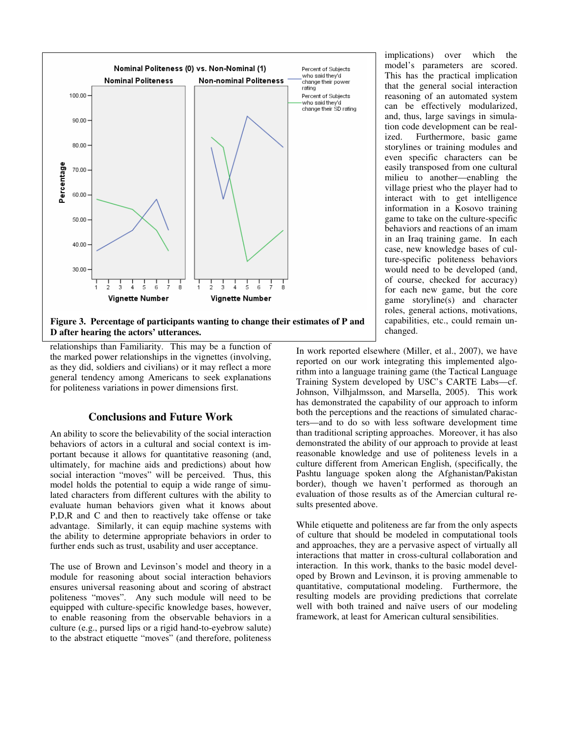

**Figure 3. Percentage of participants wanting to change their estimates of P and D after hearing the actors' utterances.** 

relationships than Familiarity. This may be a function of the marked power relationships in the vignettes (involving, as they did, soldiers and civilians) or it may reflect a more general tendency among Americans to seek explanations for politeness variations in power dimensions first.

## **Conclusions and Future Work**

An ability to score the believability of the social interaction behaviors of actors in a cultural and social context is important because it allows for quantitative reasoning (and, ultimately, for machine aids and predictions) about how social interaction "moves" will be perceived. Thus, this model holds the potential to equip a wide range of simulated characters from different cultures with the ability to evaluate human behaviors given what it knows about P,D,R and C and then to reactively take offense or take advantage. Similarly, it can equip machine systems with the ability to determine appropriate behaviors in order to further ends such as trust, usability and user acceptance.

The use of Brown and Levinson's model and theory in a module for reasoning about social interaction behaviors ensures universal reasoning about and scoring of abstract politeness "moves". Any such module will need to be equipped with culture-specific knowledge bases, however, to enable reasoning from the observable behaviors in a culture (e.g., pursed lips or a rigid hand-to-eyebrow salute) to the abstract etiquette "moves" (and therefore, politeness implications) over which the model's parameters are scored. This has the practical implication that the general social interaction reasoning of an automated system can be effectively modularized, and, thus, large savings in simulation code development can be realized. Furthermore, basic game storylines or training modules and even specific characters can be easily transposed from one cultural milieu to another—enabling the village priest who the player had to interact with to get intelligence information in a Kosovo training game to take on the culture-specific behaviors and reactions of an imam in an Iraq training game. In each case, new knowledge bases of culture-specific politeness behaviors would need to be developed (and, of course, checked for accuracy) for each new game, but the core game storyline(s) and character roles, general actions, motivations, capabilities, etc., could remain unchanged.

In work reported elsewhere (Miller, et al., 2007), we have reported on our work integrating this implemented algorithm into a language training game (the Tactical Language Training System developed by USC's CARTE Labs—cf. Johnson, Vilhjalmsson, and Marsella, 2005). This work has demonstrated the capability of our approach to inform both the perceptions and the reactions of simulated characters—and to do so with less software development time than traditional scripting approaches. Moreover, it has also demonstrated the ability of our approach to provide at least reasonable knowledge and use of politeness levels in a culture different from American English, (specifically, the Pashtu language spoken along the Afghanistan/Pakistan border), though we haven't performed as thorough an evaluation of those results as of the Amercian cultural results presented above.

While etiquette and politeness are far from the only aspects of culture that should be modeled in computational tools and approaches, they are a pervasive aspect of virtually all interactions that matter in cross-cultural collaboration and interaction. In this work, thanks to the basic model developed by Brown and Levinson, it is proving ammenable to quantitative, computational modeling. Furthermore, the resulting models are providing predictions that correlate well with both trained and naïve users of our modeling framework, at least for American cultural sensibilities.